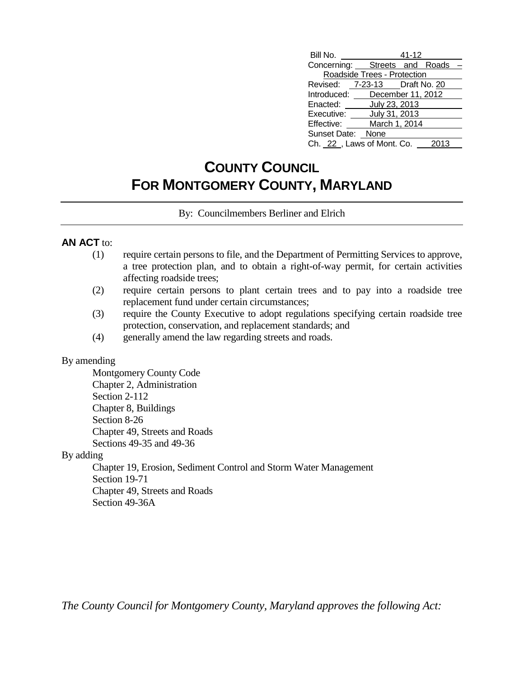| Bill No.                      | 41-12                       |  |      |  |
|-------------------------------|-----------------------------|--|------|--|
| Concerning: Streets and Roads |                             |  |      |  |
|                               | Roadside Trees - Protection |  |      |  |
| Revised: 7-23-13 Draft No. 20 |                             |  |      |  |
| Introduced: December 11, 2012 |                             |  |      |  |
| Enacted: July 23, 2013        |                             |  |      |  |
| Executive: July 31, 2013      |                             |  |      |  |
| Effective:                    | March 1, 2014               |  |      |  |
| Sunset Date: None             |                             |  |      |  |
| Ch. 22, Laws of Mont. Co.     |                             |  | 2013 |  |

## **COUNTY COUNCIL FOR MONTGOMERY COUNTY, MARYLAND**

By: Councilmembers Berliner and Elrich

#### **AN ACT** to:

- (1) require certain persons to file, and the Department of Permitting Services to approve, a tree protection plan, and to obtain a right-of-way permit, for certain activities affecting roadside trees;
- (2) require certain persons to plant certain trees and to pay into a roadside tree replacement fund under certain circumstances;
- (3) require the County Executive to adopt regulations specifying certain roadside tree protection, conservation, and replacement standards; and
- (4) generally amend the law regarding streets and roads.

#### By amending

Montgomery County Code Chapter 2, Administration Section 2-112 Chapter 8, Buildings Section 8-26 Chapter 49, Streets and Roads Sections 49-35 and 49-36

#### By adding

Chapter 19, Erosion, Sediment Control and Storm Water Management Section 19-71 Chapter 49, Streets and Roads Section 49-36A

*The County Council for Montgomery County, Maryland approves the following Act:*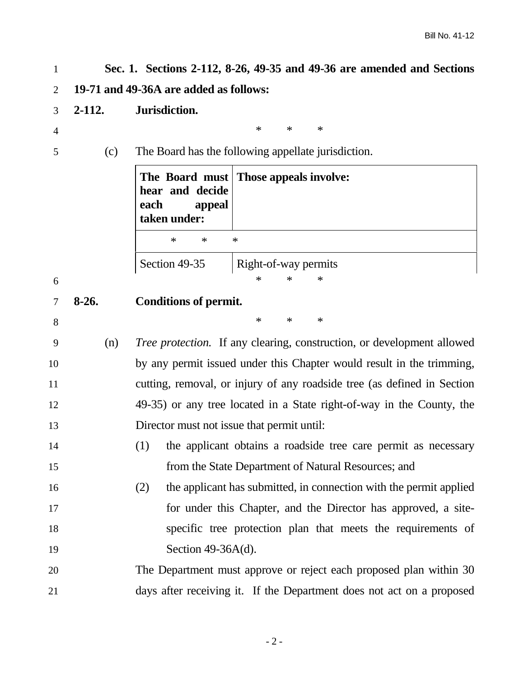| $\mathbf{1}$   | Sec. 1. Sections 2-112, 8-26, 49-35 and 49-36 are amended and Sections |                                                                                               |  |  |  |
|----------------|------------------------------------------------------------------------|-----------------------------------------------------------------------------------------------|--|--|--|
| $\overline{2}$ | 19-71 and 49-36A are added as follows:                                 |                                                                                               |  |  |  |
| 3              | $2 - 112.$                                                             | Jurisdiction.                                                                                 |  |  |  |
| 4              |                                                                        | $\ast$<br>∗<br>$\ast$                                                                         |  |  |  |
| 5              | (c)                                                                    | The Board has the following appellate jurisdiction.                                           |  |  |  |
|                |                                                                        | Those appeals involve:<br>The Board must<br>hear and decide<br>each<br>appeal<br>taken under: |  |  |  |
|                |                                                                        | $\ast$<br>$\ast$<br>$\ast$                                                                    |  |  |  |
|                |                                                                        | Section 49-35<br>Right-of-way permits                                                         |  |  |  |
| 6              |                                                                        | $\ast$<br>$\ast$<br>∗                                                                         |  |  |  |
| 7              | $8-26.$                                                                | <b>Conditions of permit.</b>                                                                  |  |  |  |
| 8              |                                                                        | $\ast$<br>$\ast$<br>$\ast$                                                                    |  |  |  |
| 9              | (n)                                                                    | <i>Tree protection.</i> If any clearing, construction, or development allowed                 |  |  |  |
| 10             |                                                                        | by any permit issued under this Chapter would result in the trimming,                         |  |  |  |
| 11             |                                                                        | cutting, removal, or injury of any roadside tree (as defined in Section                       |  |  |  |
| 12             |                                                                        | 49-35) or any tree located in a State right-of-way in the County, the                         |  |  |  |
| 13             |                                                                        | Director must not issue that permit until:                                                    |  |  |  |
| 14             |                                                                        | (1)<br>the applicant obtains a roadside tree care permit as necessary                         |  |  |  |
| 15             |                                                                        | from the State Department of Natural Resources; and                                           |  |  |  |
| 16             |                                                                        | the applicant has submitted, in connection with the permit applied<br>(2)                     |  |  |  |
| 17             |                                                                        | for under this Chapter, and the Director has approved, a site-                                |  |  |  |
| 18             |                                                                        | specific tree protection plan that meets the requirements of                                  |  |  |  |
| 19             |                                                                        | Section $49-36A(d)$ .                                                                         |  |  |  |
| 20             | The Department must approve or reject each proposed plan within 30     |                                                                                               |  |  |  |
| 21             | days after receiving it. If the Department does not act on a proposed  |                                                                                               |  |  |  |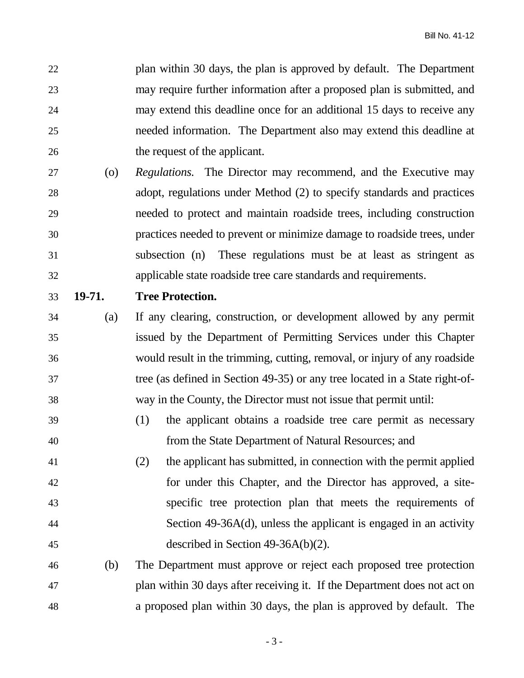plan within 30 days, the plan is approved by default. The Department may require further information after a proposed plan is submitted, and may extend this deadline once for an additional 15 days to receive any needed information. The Department also may extend this deadline at the request of the applicant.

- (o) *Regulations.* The Director may recommend, and the Executive may adopt, regulations under Method (2) to specify standards and practices needed to protect and maintain roadside trees, including construction practices needed to prevent or minimize damage to roadside trees, under subsection (n) These regulations must be at least as stringent as applicable state roadside tree care standards and requirements.
- 

#### **19-71. Tree Protection.**

- (a) If any clearing, construction, or development allowed by any permit issued by the Department of Permitting Services under this Chapter would result in the trimming, cutting, removal, or injury of any roadside tree (as defined in Section 49-35) or any tree located in a State right-of-way in the County, the Director must not issue that permit until:
- (1) the applicant obtains a roadside tree care permit as necessary from the State Department of Natural Resources; and
- (2) the applicant has submitted, in connection with the permit applied for under this Chapter, and the Director has approved, a site- specific tree protection plan that meets the requirements of Section 49-36A(d), unless the applicant is engaged in an activity described in Section 49-36A(b)(2).

# (b) The Department must approve or reject each proposed tree protection plan within 30 days after receiving it. If the Department does not act on a proposed plan within 30 days, the plan is approved by default. The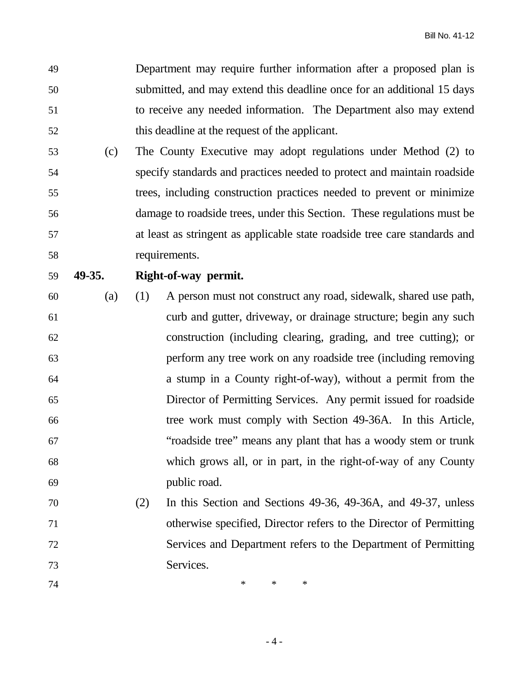Department may require further information after a proposed plan is submitted, and may extend this deadline once for an additional 15 days to receive any needed information. The Department also may extend this deadline at the request of the applicant.

- (c) The County Executive may adopt regulations under Method (2) to specify standards and practices needed to protect and maintain roadside trees, including construction practices needed to prevent or minimize damage to roadside trees, under this Section. These regulations must be at least as stringent as applicable state roadside tree care standards and requirements.
- 

### **49-35. Right-of-way permit.**

- (a) (1) A person must not construct any road, sidewalk, shared use path, curb and gutter, driveway, or drainage structure; begin any such construction (including clearing, grading, and tree cutting); or perform any tree work on any roadside tree (including removing a stump in a County right-of-way), without a permit from the Director of Permitting Services. Any permit issued for roadside tree work must comply with Section 49-36A. In this Article, "roadside tree" means any plant that has a woody stem or trunk which grows all, or in part, in the right-of-way of any County public road.
- (2) In this Section and Sections 49-36, 49-36A, and 49-37, unless otherwise specified, Director refers to the Director of Permitting Services and Department refers to the Department of Permitting Services.
- **\*** \* \* \*

- 4 -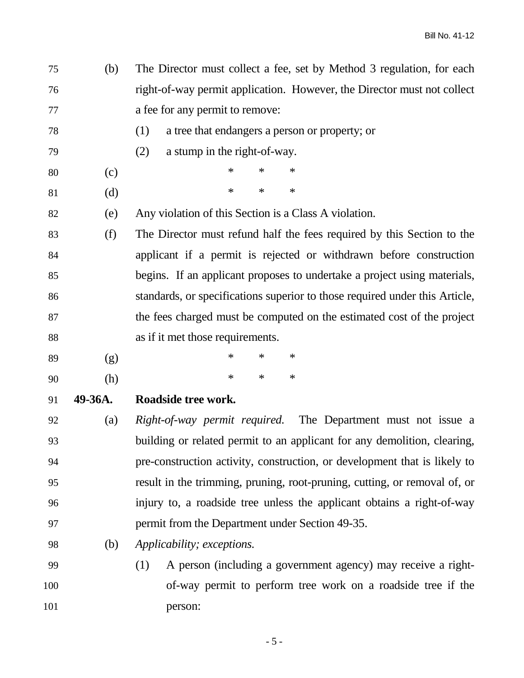(b) The Director must collect a fee, set by Method 3 regulation, for each right-of-way permit application. However, the Director must not collect a fee for any permit to remove:

- (1) a tree that endangers a person or property; or
- (2) a stump in the right-of-way.
- (c) \* \* \*
- (d) \* \* \*
- (e) Any violation of this Section is a Class A violation.

 (f) The Director must refund half the fees required by this Section to the applicant if a permit is rejected or withdrawn before construction begins. If an applicant proposes to undertake a project using materials, standards, or specifications superior to those required under this Article, the fees charged must be computed on the estimated cost of the project as if it met those requirements.

- (g) \* \* \* (h) \* \* \*
- **49-36A. Roadside tree work.**

 (a) *Right-of-way permit required.* The Department must not issue a building or related permit to an applicant for any demolition, clearing, pre-construction activity, construction, or development that is likely to result in the trimming, pruning, root-pruning, cutting, or removal of, or injury to, a roadside tree unless the applicant obtains a right-of-way permit from the Department under Section 49-35.

- (b) *Applicability; exceptions.*
- (1) A person (including a government agency) may receive a right- of-way permit to perform tree work on a roadside tree if the person: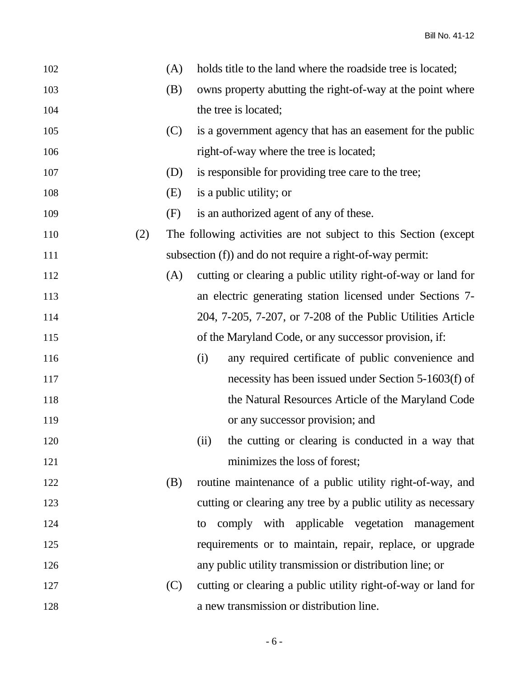| 102 |     | (A) | holds title to the land where the roadside tree is located;      |
|-----|-----|-----|------------------------------------------------------------------|
| 103 |     | (B) | owns property abutting the right-of-way at the point where       |
| 104 |     |     | the tree is located;                                             |
| 105 |     | (C) | is a government agency that has an easement for the public       |
| 106 |     |     | right-of-way where the tree is located;                          |
| 107 |     | (D) | is responsible for providing tree care to the tree;              |
| 108 |     | (E) | is a public utility; or                                          |
| 109 |     | (F) | is an authorized agent of any of these.                          |
| 110 | (2) |     | The following activities are not subject to this Section (except |
| 111 |     |     | subsection (f)) and do not require a right-of-way permit:        |
| 112 |     | (A) | cutting or clearing a public utility right-of-way or land for    |
| 113 |     |     | an electric generating station licensed under Sections 7-        |
| 114 |     |     | 204, 7-205, 7-207, or 7-208 of the Public Utilities Article      |
| 115 |     |     | of the Maryland Code, or any successor provision, if:            |
| 116 |     |     | (i)<br>any required certificate of public convenience and        |
| 117 |     |     | necessity has been issued under Section 5-1603(f) of             |
| 118 |     |     | the Natural Resources Article of the Maryland Code               |
| 119 |     |     | or any successor provision; and                                  |
| 120 |     |     | the cutting or clearing is conducted in a way that<br>(ii)       |
| 121 |     |     | minimizes the loss of forest;                                    |
| 122 |     | (B) | routine maintenance of a public utility right-of-way, and        |
| 123 |     |     | cutting or clearing any tree by a public utility as necessary    |
| 124 |     |     | comply with applicable vegetation management<br>to               |
| 125 |     |     | requirements or to maintain, repair, replace, or upgrade         |
| 126 |     |     | any public utility transmission or distribution line; or         |
| 127 |     | (C) | cutting or clearing a public utility right-of-way or land for    |
| 128 |     |     | a new transmission or distribution line.                         |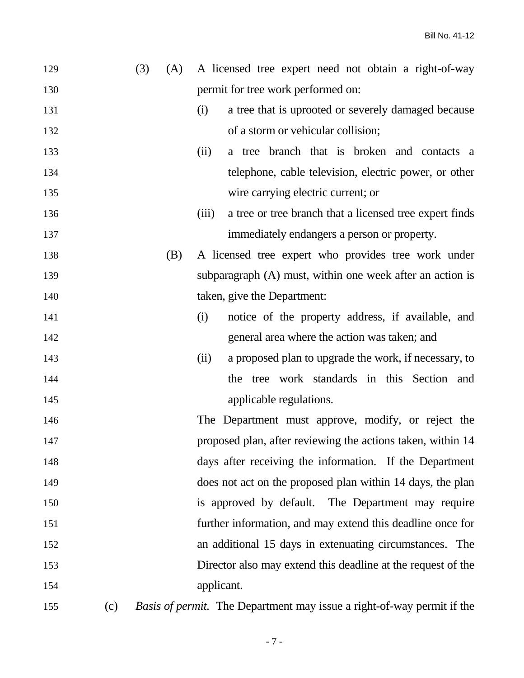| 129 |     | (3) | (A) | A licensed tree expert need not obtain a right-of-way                         |
|-----|-----|-----|-----|-------------------------------------------------------------------------------|
| 130 |     |     |     | permit for tree work performed on:                                            |
| 131 |     |     |     | a tree that is uprooted or severely damaged because<br>(i)                    |
| 132 |     |     |     | of a storm or vehicular collision;                                            |
| 133 |     |     |     | a tree branch that is broken and contacts a<br>(ii)                           |
| 134 |     |     |     | telephone, cable television, electric power, or other                         |
| 135 |     |     |     | wire carrying electric current; or                                            |
| 136 |     |     |     | a tree or tree branch that a licensed tree expert finds<br>(iii)              |
| 137 |     |     |     | immediately endangers a person or property.                                   |
| 138 |     |     | (B) | A licensed tree expert who provides tree work under                           |
| 139 |     |     |     | subparagraph (A) must, within one week after an action is                     |
| 140 |     |     |     | taken, give the Department:                                                   |
| 141 |     |     |     | notice of the property address, if available, and<br>(i)                      |
| 142 |     |     |     | general area where the action was taken; and                                  |
| 143 |     |     |     | a proposed plan to upgrade the work, if necessary, to<br>(ii)                 |
| 144 |     |     |     | the tree work standards in this Section and                                   |
| 145 |     |     |     | applicable regulations.                                                       |
| 146 |     |     |     | The Department must approve, modify, or reject the                            |
| 147 |     |     |     | proposed plan, after reviewing the actions taken, within 14                   |
| 148 |     |     |     | days after receiving the information. If the Department                       |
| 149 |     |     |     | does not act on the proposed plan within 14 days, the plan                    |
| 150 |     |     |     | is approved by default. The Department may require                            |
| 151 |     |     |     | further information, and may extend this deadline once for                    |
| 152 |     |     |     | an additional 15 days in extenuating circumstances. The                       |
| 153 |     |     |     | Director also may extend this deadline at the request of the                  |
| 154 |     |     |     | applicant.                                                                    |
| 155 | (c) |     |     | <i>Basis of permit.</i> The Department may issue a right-of-way permit if the |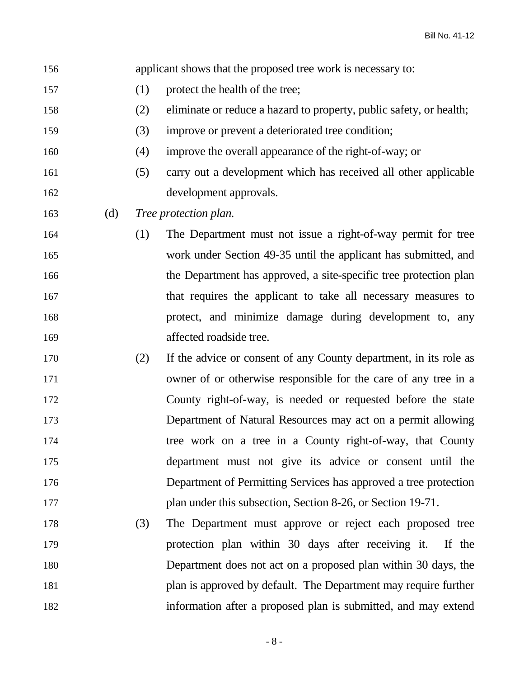applicant shows that the proposed tree work is necessary to:

- (1) protect the health of the tree;
- (2) eliminate or reduce a hazard to property, public safety, or health;
- (3) improve or prevent a deteriorated tree condition;
- (4) improve the overall appearance of the right-of-way; or
- (5) carry out a development which has received all other applicable development approvals.
- (d) *Tree protection plan.*
- (1) The Department must not issue a right-of-way permit for tree work under Section 49-35 until the applicant has submitted, and the Department has approved, a site-specific tree protection plan that requires the applicant to take all necessary measures to protect, and minimize damage during development to, any affected roadside tree.
- (2) If the advice or consent of any County department, in its role as owner of or otherwise responsible for the care of any tree in a County right-of-way, is needed or requested before the state Department of Natural Resources may act on a permit allowing tree work on a tree in a County right-of-way, that County department must not give its advice or consent until the Department of Permitting Services has approved a tree protection plan under this subsection, Section 8-26, or Section 19-71.
- (3) The Department must approve or reject each proposed tree protection plan within 30 days after receiving it. If the Department does not act on a proposed plan within 30 days, the plan is approved by default. The Department may require further information after a proposed plan is submitted, and may extend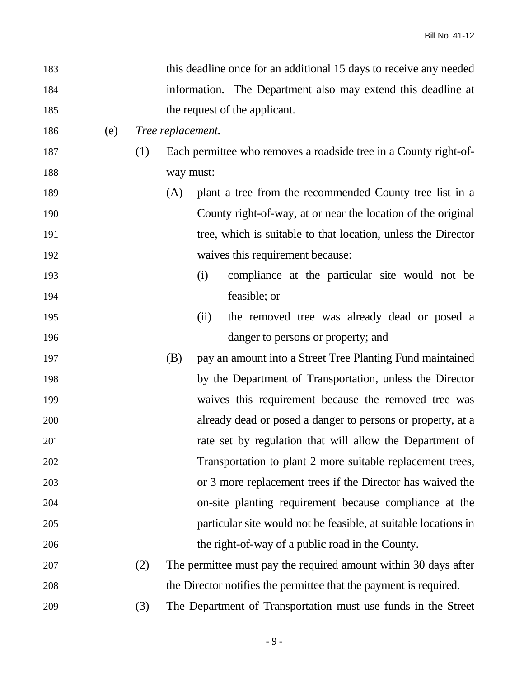| 183 |     |     |                                                              | this deadline once for an additional 15 days to receive any needed |  |  |
|-----|-----|-----|--------------------------------------------------------------|--------------------------------------------------------------------|--|--|
| 184 |     |     | information. The Department also may extend this deadline at |                                                                    |  |  |
| 185 |     |     | the request of the applicant.                                |                                                                    |  |  |
| 186 | (e) |     | Tree replacement.                                            |                                                                    |  |  |
| 187 |     | (1) |                                                              | Each permittee who removes a roadside tree in a County right-of-   |  |  |
| 188 |     |     | way must:                                                    |                                                                    |  |  |
| 189 |     |     | (A)                                                          | plant a tree from the recommended County tree list in a            |  |  |
| 190 |     |     |                                                              | County right-of-way, at or near the location of the original       |  |  |
| 191 |     |     |                                                              | tree, which is suitable to that location, unless the Director      |  |  |
| 192 |     |     |                                                              | waives this requirement because:                                   |  |  |
| 193 |     |     |                                                              | compliance at the particular site would not be<br>(i)              |  |  |
| 194 |     |     |                                                              | feasible; or                                                       |  |  |
| 195 |     |     |                                                              | the removed tree was already dead or posed a<br>(ii)               |  |  |
| 196 |     |     |                                                              | danger to persons or property; and                                 |  |  |
| 197 |     |     | (B)                                                          | pay an amount into a Street Tree Planting Fund maintained          |  |  |
| 198 |     |     |                                                              | by the Department of Transportation, unless the Director           |  |  |
| 199 |     |     |                                                              | waives this requirement because the removed tree was               |  |  |
| 200 |     |     |                                                              | already dead or posed a danger to persons or property, at a        |  |  |
| 201 |     |     |                                                              | rate set by regulation that will allow the Department of           |  |  |
| 202 |     |     |                                                              | Transportation to plant 2 more suitable replacement trees,         |  |  |
| 203 |     |     |                                                              | or 3 more replacement trees if the Director has waived the         |  |  |
| 204 |     |     |                                                              | on-site planting requirement because compliance at the             |  |  |
| 205 |     |     |                                                              | particular site would not be feasible, at suitable locations in    |  |  |
| 206 |     |     |                                                              | the right-of-way of a public road in the County.                   |  |  |
| 207 |     | (2) |                                                              | The permittee must pay the required amount within 30 days after    |  |  |
| 208 |     |     |                                                              | the Director notifies the permittee that the payment is required.  |  |  |
| 209 |     | (3) |                                                              | The Department of Transportation must use funds in the Street      |  |  |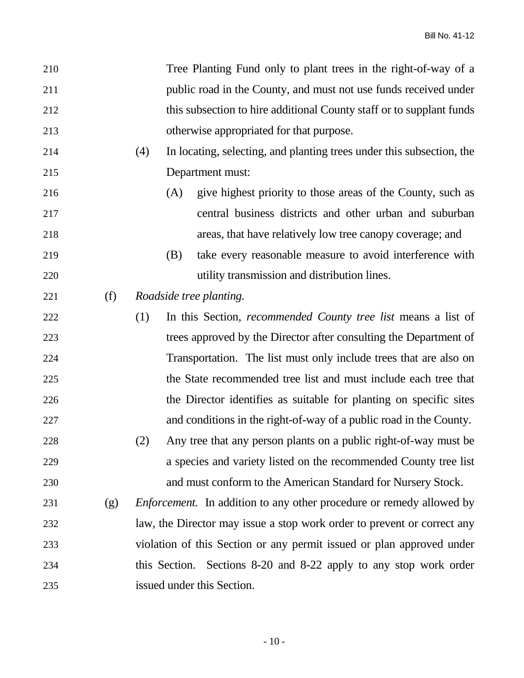| 210 |     |     | Tree Planting Fund only to plant trees in the right-of-way of a             |
|-----|-----|-----|-----------------------------------------------------------------------------|
| 211 |     |     | public road in the County, and must not use funds received under            |
| 212 |     |     | this subsection to hire additional County staff or to supplant funds        |
| 213 |     |     | otherwise appropriated for that purpose.                                    |
| 214 |     | (4) | In locating, selecting, and planting trees under this subsection, the       |
| 215 |     |     | Department must:                                                            |
| 216 |     |     | give highest priority to those areas of the County, such as<br>(A)          |
| 217 |     |     | central business districts and other urban and suburban                     |
| 218 |     |     | areas, that have relatively low tree canopy coverage; and                   |
| 219 |     |     | (B)<br>take every reasonable measure to avoid interference with             |
| 220 |     |     | utility transmission and distribution lines.                                |
| 221 | (f) |     | Roadside tree planting.                                                     |
| 222 |     | (1) | In this Section, <i>recommended County tree list</i> means a list of        |
| 223 |     |     | trees approved by the Director after consulting the Department of           |
| 224 |     |     | Transportation. The list must only include trees that are also on           |
| 225 |     |     | the State recommended tree list and must include each tree that             |
| 226 |     |     | the Director identifies as suitable for planting on specific sites          |
| 227 |     |     | and conditions in the right-of-way of a public road in the County.          |
| 228 |     | (2) | Any tree that any person plants on a public right-of-way must be            |
| 229 |     |     | a species and variety listed on the recommended County tree list            |
| 230 |     |     | and must conform to the American Standard for Nursery Stock.                |
| 231 | (g) |     | <i>Enforcement.</i> In addition to any other procedure or remedy allowed by |
| 232 |     |     | law, the Director may issue a stop work order to prevent or correct any     |
| 233 |     |     | violation of this Section or any permit issued or plan approved under       |
| 234 |     |     | this Section. Sections 8-20 and 8-22 apply to any stop work order           |
| 235 |     |     | issued under this Section.                                                  |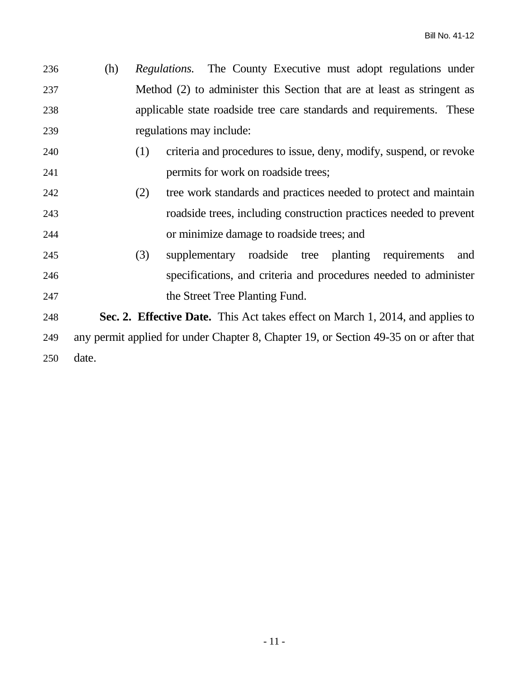| 236 | (h) | <i>Regulations.</i> The County Executive must adopt regulations under   |
|-----|-----|-------------------------------------------------------------------------|
| 237 |     | Method (2) to administer this Section that are at least as stringent as |
| 238 |     | applicable state roadside tree care standards and requirements. These   |
| 239 |     | regulations may include:                                                |

- (1) criteria and procedures to issue, deny, modify, suspend, or revoke permits for work on roadside trees;
- (2) tree work standards and practices needed to protect and maintain roadside trees, including construction practices needed to prevent or minimize damage to roadside trees; and
- (3) supplementary roadside tree planting requirements and specifications, and criteria and procedures needed to administer 247 the Street Tree Planting Fund.

 **Sec. 2. Effective Date.** This Act takes effect on March 1, 2014, and applies to any permit applied for under Chapter 8, Chapter 19, or Section 49-35 on or after that date.